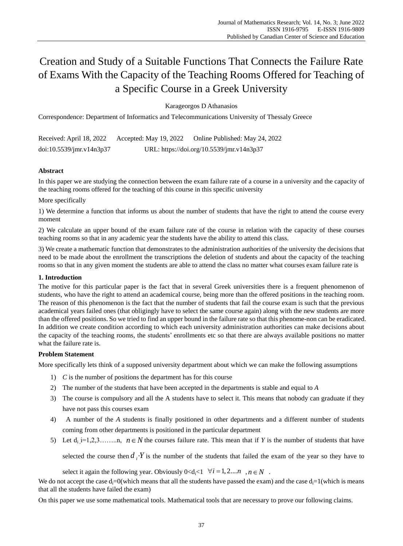# Creation and Study of a Suitable Functions That Connects the Failure Rate of Exams With the Capacity of the Teaching Rooms Offered for Teaching of a Specific Course in a Greek University

Karageorgos D Athanasios

Correspondence: Department of Informatics and Telecommunications University of Thessaly Greece

Received: April 18, 2022 Accepted: May 19, 2022 Online Published: May 24, 2022 doi:10.5539/jmr.v14n3p37 URL: https://doi.org/10.5539/jmr.v14n3p37

# **Abstract**

In this paper we are studying the connection between the exam failure rate of a course in a university and the capacity of the teaching rooms offered for the teaching of this course in this specific university

# More specifically

1) We determine a function that informs us about the number of students that have the right to attend the course every moment

2) We calculate an upper bound of the exam failure rate of the course in relation with the capacity of these courses teaching rooms so that in any academic year the students have the ability to attend this class.

3) We create a mathematic function that demonstrates to the administration authorities of the university the decisions that need to be made about the enrollment the transcriptions the deletion of students and about the capacity of the teaching rooms so that in any given moment the students are able to attend the class no matter what courses exam failure rate is

## **1. Introduction**

The motive for this particular paper is the fact that in several Greek universities there is a frequent phenomenon of students, who have the right to attend an academical course, being more than the offered positions in the teaching room. The reason of this phenomenon is the fact that the number of students that fail the course exam is such that the previous academical years failed ones (that obligingly have to select the same course again) along with the new students are more than the offered positions. So we tried to find an upper bound in the failure rate so that this phenome-non can be eradicated. In addition we create condition according to which each university administration authorities can make decisions about the capacity of the teaching rooms, the students' enrollments etc so that there are always available positions no matter what the failure rate is.

## **Problem Statement**

More specifically lets think of a supposed university department about which we can make the following assumptions

- 1) *C* is the number of positions the department has for this course
- 2) The number of the students that have been accepted in the departments is stable and equal to *A*
- 3) The course is compulsory and all the A students have to select it. This means that nobody can graduate if they have not pass this courses exam
- 4) A number of the *A* students is finally positioned in other departments and a different number of students coming from other departments is positioned in the particular department
- 5) Let  $d_{i}$  i=1,2,3……..n,  $n \in N$  the courses failure rate. This mean that if *Y* is the number of students that have

selected the course then  $d_i \cdot Y$  is the number of the students that failed the exam of the year so they have to

select it again the following year. Obviously  $0 < d_i < 1 \quad \forall i = 1, 2...n \quad n \in N$ .

We do not accept the case  $d_i=0$ (which means that all the students have passed the exam) and the case  $d_i=1$ (which is means that all the students have failed the exam)

Οn this paper we use some mathematical tools. Mathematical tools that are necessary to prove our following claims.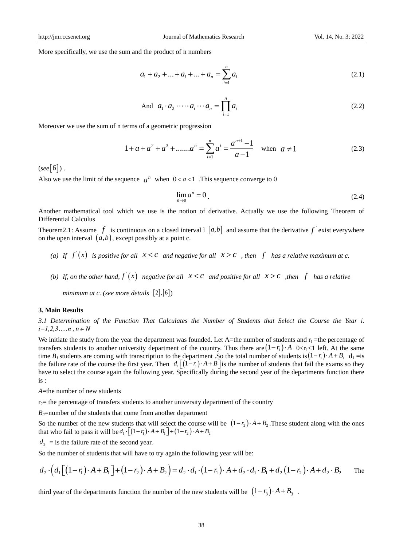More specifically, we use the sum and the product of n numbers

$$
a_1 + a_2 + \dots + a_i + \dots + a_n = \sum_{i=1}^n a_i
$$
\n(2.1)

And 
$$
a_1 \cdot a_2 \cdot \cdots \cdot a_i \cdot \cdots \cdot a_n = \prod_{i=1}^n a_i
$$
 (2.2)

Moreover we use the sum of n terms of a geometric progression

$$
1 + a + a2 + a3 + \dots + an = \sum_{i=1}^{n} ai = \frac{a^{n+1} - 1}{a - 1} \quad \text{when } a \neq 1
$$
 (2.3)

 $($ see  $|6|)$ .

Also we use the limit of the sequence  $a^n$  when  $0 < a < 1$ . This sequence converge to 0

$$
\lim_{n \to 0} a^n = 0 \tag{2.4}
$$

Another mathematical tool which we use is the notion of derivative. Actually we use the following Theorem of Differential Calculus

Theorem 2.1: Assume  $f$  is continuous on a closed interval  $[a,b]$  and assume that the derivative  $f$  exist everywhere on the open interval  $(a,b)$ , except possibly at a point c.

- (a) If  $f'(x)$  is positive for all  $x < c$  and negative for all  $x > c$  , then  $f$  has a relative maximum at c.
- *(b)* If, on the other hand,  $f'(x)$  negative for all  $x < c$  and positive for all  $x > c$  , then  $f$  has a relative

 $minimum$  at c. (see more details  $[2],[6]$ )

#### **3. Main Results**

*3.1 Determination of the Function That Calculates the Number of Students that Select the Course the Year i.*   $i=1,2,3,....n$ ,  $n \in N$ 

We initiate the study from the year the department was founded. Let A=the number of students and  $r_i$  =the percentage of transfers students to another university department of the country. Thus there are  $(1-r_1) \cdot A$   $0 < r_1 < 1$  left. At the same time  $B_l$  students are coming with transcription to the department . So the total number of students is  $(1-r_1) \cdot A + B_1 \cdot d_1 =$ is the failure rate of the course the first year. Then  $d_1\left[\left(1-r_1\right)\cdot A+B\right]$  is the number of students that fail the exams so they have to select the course again the following year. Specifically during the second year of the departments function there is :

*A*=the number of new students

 $r_2$ = the percentage of transfers students to another university department of the country

 $B_2$ =number of the students that come from another department

So the number of the new students that will select the course will be  $(1-r_2) \cdot A + B_2$ . These student along with the ones So the number of the new students that will select the course will that who fail to pass it will be  $d_1 \cdot \left[ (1 - r_1) \cdot A + B_1 \right] + (1 - r_2) \cdot A + B_2$ 

 $d_2$  = is the failure rate of the second year.

So the number of students that will have to try again the following year will be:

that who fail to pass it will be 
$$
a_1 \cdot (1 - r_1) \cdot A + B_1 + (1 - r_2) \cdot A + B_2
$$
  
\n $d_2 =$  is the failure rate of the second year.  
\nSo the number of students that will have to try again the following year will be:  
\n $d_2 \cdot (d_1 [(1 - r_1) \cdot A + B_1] + (1 - r_2) \cdot A + B_2) = d_2 \cdot d_1 \cdot (1 - r_1) \cdot A + d_2 \cdot d_1 \cdot B_1 + d_2 (1 - r_2) \cdot A + d_2 \cdot B_2$  The

third year of the departments function the number of the new students will be  $(1-r_3)\cdot A+B_3$ .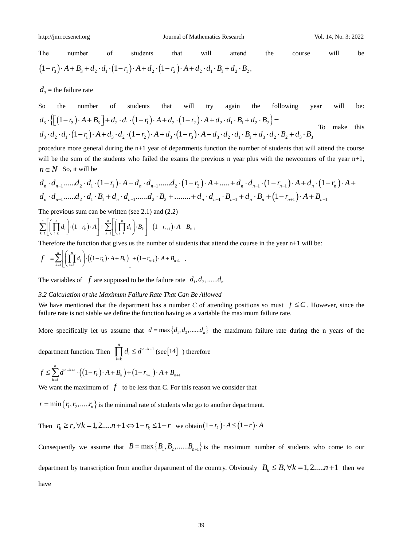Τhe number of students that will attend the course will be The number of students that will attend the<br>  $(1-r_3) \cdot A + B_3 + d_2 \cdot d_1 \cdot (1-r_1) \cdot A + d_2 \cdot (1-r_2) \cdot A + d_2 \cdot d_1 \cdot B_1 + d_2 \cdot B_2$ 

 $d_3$  = the failure rate

So the number of students that will try again the following year will be:  $d_3$  = the failure rate<br>
So the number of students that will try again the following year<br>  $d_3 \cdot \left\{ \left[ (1-r_3) \cdot A + B_3 \right] + d_2 \cdot d_1 \cdot (1-r_1) \cdot A + d_2 \cdot (1-r_2) \cdot A + d_2 \cdot d_1 \cdot B_1 + d_2 \cdot B_2 \right\} =$ So the number of students that will try again the following year will  $d_3 \cdot \left\{ \left[ (1-r_3) \cdot A + B_3 \right] + d_2 \cdot d_1 \cdot (1-r_1) \cdot A + d_2 \cdot (1-r_2) \cdot A + d_2 \cdot d_1 \cdot B_1 + d_2 \cdot B_2 \right\} =$ <br> $d_3 \cdot d_2 \cdot d_1 \cdot (1-r_1) \cdot A + d_3 \cdot d_2 \cdot (1-r_2) \cdot A + d_3 \cdot (1-r_3)$ To make this

procedure more general during the n+1 year of departments function the number of students that will attend the course<br>will be the sum of the students who failed the exams the previous n year plus with the newcomers of the  $n \in N$  So, it will be

will be the sum of the students who failed the exams the previous n year plus with the newcomes of the year n+1,  
\n
$$
n \in N
$$
 So, it will be  
\n $d_n \cdot d_{n-1} \cdot \ldots \cdot d_2 \cdot d_1 \cdot (1-r_1) \cdot A + d_n \cdot d_{n-1} \cdot \ldots \cdot d_2 \cdot (1-r_2) \cdot A + \ldots + d_n \cdot d_{n-1} \cdot (1-r_{n-1}) \cdot A + d_n \cdot (1-r_n) \cdot A +$   
\n $d_n \cdot d_{n-1} \cdot \ldots \cdot d_2 \cdot d_1 \cdot B_1 + d_n \cdot d_{n-1} \cdot \ldots \cdot d_2 \cdot B_2 + \ldots \cdot \ldots + d_n \cdot d_{n-1} \cdot B_{n-1} + d_n \cdot B_n + (1-r_{n+1}) \cdot A + B_{n+1}$ 

$$
\alpha_n \quad a_{n-1}, \dots, a_2 \quad a_1 \quad B_1 + a_n \quad a_{n-1}, \dots, a_2 \quad B_2 + \dots \dots \quad a_n
$$
\nThe previous sum can be written (see 2.1) and (2.2)\n
$$
\sum_{k=1}^n \left[ \left( \prod_{i=k}^n d_i \right) \cdot \left( 1 - r_k \right) \cdot A \right] + \sum_{k=1}^n \left[ \left( \prod_{i=k}^n d_i \right) \cdot B_k \right] + \left( 1 - r_{n+1} \right) \cdot A + B_{n+1}
$$

Therefore the function that gives us the number of students that attend the course in the year n+1 will be:  
\n
$$
f = \sum_{k=1}^{n} \left[ \left( \prod_{i=k}^{n} d_i \right) \cdot \left( (1 - r_k) \cdot A + B_k \right) \right] + (1 - r_{n+1}) \cdot A + B_{n+1}.
$$

The variables of  $f$  are supposed to be the failure rate  $d_1, d_2, \dots, d_n$ 

#### *3.2 Calculation of the Maximum Failure Rate That Can Be Allowed*

We have mentioned that the department has a number *C* of attending positions so must  $f \leq C$ . However, since the failure rate is not stable we define the function having as a variable the maximum failure rate.

More specifically let us assume that  $d = \max\{d_1, d_2, \dots, d_n\}$  the maximum failure rate during the n years of the

department function. Then  $\prod_{i=k}^{n} d_i \leq d^{n-k+1}$  $d_i \leq d^{n-k+1}$  $\prod_{i=k} d_i \leq d^{n-k+1}$  (see [14] ) therefore

$$
f \leq \sum_{k=1}^{n} d^{n-k+1} \cdot ((1 - r_k) \cdot A + B_k) + (1 - r_{n+1}) \cdot A + B_{n+1}
$$

We want the maximum of  $f$  to be less than C. For this reason we consider that

 $r = \min\{r_1, r_2, \dots, r_n\}$  is the minimal rate of students who go to another department.

Then  $r_k \ge r, \forall k = 1, 2, ..., n+1 \Leftrightarrow 1-r_k \le 1-r$  we obtain  $(1-r_k) \cdot A \le (1-r) \cdot A$ 

Consequently we assume that  $B = \max\{B_1, B_2, \dots, B_{n+1}\}\$ is the maximum number of students who come to our department by transcription from another department of the country. Obviously  $B_k \leq B$ ,  $\forall k = 1, 2,....n+1$  then we have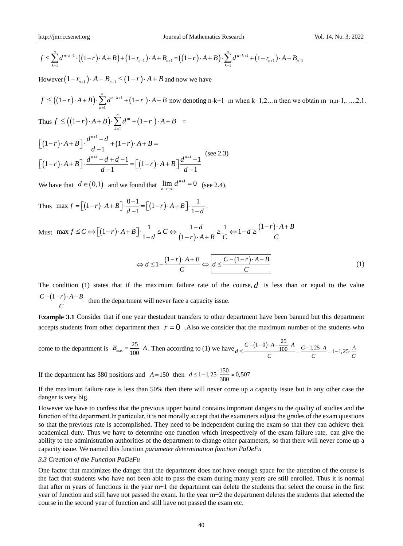$$
f \leq \sum_{k=1}^{n} d^{n-k+1} \cdot \left( (1-r) \cdot A + B \right) + (1-r_{n+1}) \cdot A + B_{n+1} = \left( (1-r) \cdot A + B \right) \cdot \sum_{k=1}^{n} d^{n-k+1} + (1-r_{n+1}) \cdot A + B_{n+1}
$$

However  $(1 - r_{n+1}) \cdot A + B_{n+1} \le (1 - r) \cdot A + B$  and now we have

 $((1-r)\cdot A+B)+(1-r_{n+1})\cdot A+B_{n+1} = ((1-r)\cdot A$ <br>  $\kappa_{n+1})\cdot A+B_{n+1} \leq (1-r)\cdot A+B$  and now we hat<br>  $A+B)\cdot \sum_{k=1}^{n} d^{n-k+1}+(1-r)\cdot A+B$  now denoting<br>  $-r)\cdot A+B\cdot \sum_{k=1}^{n} d^{n-k+1}+(1-r)\cdot A+B$  now denoting<br>  $-r)\cdot A+B\cdot \sum_{k=1}^{n} d^{n-k+1}+(1-r)\cdot A+B=$ <br>  $\frac{1}{d} \frac{$  $f \leq ((1-r) \cdot A + B) \cdot \sum d^{n-k+1} + (1-r)$  $(1-r) \cdot A + B$ )  $\cdot \sum_{k=1}^{n} d^{n-k+1} + (1$  $(-r) \cdot A + B \cdot \sum_{k=1}^{n} d^{n-k+1} + (1-r) \cdot A + B$  now denoting n-k+1=m when k=1,2…n then we obtain m=n,n-1,…..2,1. Thus  $f \le ((1-r) \cdot A + B) \cdot \sum_{n=1}^n d^m + (1-r)$ 1 *k*  $(-r) \cdot A + B$ )  $\cdot \sum_{n=1}^{n} d^{m} + (1-r) \cdot A + B$  =  $=$  $(1-r)\cdot A+B$   $\cdot \frac{1}{1-r}$  +  $(1-r)$  $(1-r)\cdot A+B$  |  $\frac{a+1}{1}$  =  $(1-r)$ 1  $-1$   $d+d-1$   $\Gamma$   $\Gamma$  $(1-r) \cdot A + B$ ] $\cdot \frac{d^{n+1}-d}{d-1} + (1$  $(1-r) \cdot A + B$   $\left[ \cdot \frac{a-a}{d-1} + (1-r) \cdot A + B \right]$ <br> $(1-r) \cdot A + B$   $\left[ \cdot \frac{d^{n+1}-d+d-1}{d-1} \right] = [(1-r) \cdot A + B] \frac{d^{n+1}-1}{d-1}$  $\frac{d-1}{d-1}$ <br>  $\frac{d^{n+1}-d+d-1}{d-1} = \left[ (1-r) \cdot A + B \right] \frac{d^{n+1}-1}{d-1}$ *n*  $f \le ((1-r) \cdot A + B) \cdot \sum_{k=1}^{n} d^{m} + (1-r) \cdot A + B \cdot \frac{d^{n+1} - d}{d-1} + (1-r) \cdot A + B$  $\left[ r \right] \cdot A + B \left[ \frac{a}{d-1} + (1-r) \cdot A + B \right]$ <br>  $\left[ r \right] \cdot A + B \left[ \frac{a^{n+1} - d + d - 1}{d-1} \right] = \left[ (1-r) \cdot A + B \right] \frac{d}{d}$  $\frac{d^{d+1}-d+d-1}{d-1} = \left[ (1-r) \cdot A + B \right] \frac{d^{n+1}-1}{d-1}$  $^{+1}$  –  $[(1-r) \cdot A + B] \cdot \frac{d^{n+1} - d}{d-1} + (1-r) \cdot A + B =$  $[(1-r) \cdot A + B] \cdot \frac{a^2 - a^2}{d - 1} + (1-r) \cdot A + B =$ <br>  $[(1-r) \cdot A + B] \cdot \frac{d^{n+1} - d + d - 1}{d - 1} = [(1-r) \cdot A + B] \frac{d^{n+1} - 1}{d - 1}$  (see 2) (see 2.3)

We have that  $d \in (0,1)$  and we found that  $\lim_{n \to \infty} d^{n+1} = 0$  $\lim_{n \to \infty} d^{n+1} = 0$  (see 2.4).

We have that  $a \in (0, 1)$  and we found that  $\lim_{n \to \infty} a = 0$  (<br>
Thus  $\max f = \left[ (1-r) \cdot A + B \right] \cdot \frac{0-1}{d-1} = \left[ (1-r) \cdot A + B \right] \cdot \frac{1}{1-d}$  $=\left[\left(1-r\right)\cdot A+B\right]\cdot\frac{0-1}{d-1}=\left[\left(1-r\right)\cdot A+B\right]\cdot\frac{1}{1-d}.$ .

Must max  $f \leq C \Leftrightarrow (1-r)$ max  $f = \left[ (1-r) \cdot A + B \right] \cdot \frac{0-1}{d-1} = \left[ (1-r) \cdot A + B \right] \cdot \frac{1}{1-d}$ .<br>
max  $f \leq C \Leftrightarrow \left[ (1-r) \cdot A + B \right] \cdot \frac{1}{1-d} \leq C \Leftrightarrow \frac{1-d}{(1-r) \cdot A + B} \geq \frac{1}{C} \Leftrightarrow 1-d \geq \frac{(1-r)}{C}$  $\frac{1}{1-d} \leq C \Leftrightarrow \frac{1}{1-d}$  $f = \left[ (1-r) \cdot A + B \right] \cdot \frac{0-1}{d-1} = \left[ (1-r) \cdot A + B \right] \cdot \frac{1}{1-d}$ <br>  $f \leq C \Leftrightarrow \left[ (1-r) \cdot A + B \right] \cdot \frac{1}{1-d} \leq C \Leftrightarrow \frac{1-d}{(1-r) \cdot A + B} \geq \frac{1}{C} \Leftrightarrow 1-d \geq \frac{(1-r) \cdot A + B}{C}$  $d \leq C \Leftrightarrow \frac{1-d}{(1-r) \cdot A+B} \geq \frac{1}{C} \Leftrightarrow 1-d \geq \frac{(1-r) \cdot B}{C}$ = $[(1-r)\cdot A+B]\cdot\frac{0-1}{d-1}$ = $[(1-r)\cdot A+B]\cdot\frac{1}{1-d}$ .<br>  $\leq C \Leftrightarrow [(1-r)\cdot A+B]\cdot\frac{1}{1-d} \leq C \Leftrightarrow \frac{1-d}{(1-r)\cdot A+B} \geq \frac{1}{C} \Leftrightarrow 1-d \geq \frac{(1-r)\cdot A+B}{C}$ 

$$
\Leftrightarrow d \le 1 - \frac{(1-r) \cdot A + B}{C} \Leftrightarrow d \le \frac{C - (1-r) \cdot A - B}{C} \tag{1}
$$

The condition (1) states that if the maximum failure rate of the course,  $d$  is less than or equal to the value  $C - (1 - r) \cdot A - B$ *C*  $\frac{- (1-r) \cdot A - B}{a}$  then the department will never face a capacity issue.

**Example 3.1** Consider that if one year thestudent transfers to other department have been banned but this department accepts students from other department then  $r = 0$ . Also we consider that the maximum number of the students who

come to the department is 
$$
B_{\text{max}} = \frac{25}{100} \cdot A
$$
. Then according to (1) we have  $d \leq \frac{C - (1 - 0) \cdot A - \frac{25}{100} \cdot A}{C} = \frac{C - 1.25 \cdot A}{C} = 1 - 1.25 \cdot \frac{A}{C}$ 

If the department has 380 positions and  $A = 150$  then  $d \le 1 - 1,25 \cdot \frac{150}{380} \approx 0,507$ 

If the maximum failure rate is less than 50% then there will never come up a capacity issue but in any other case the danger is very big.

However we have to confess that the previous upper bound contains important dangers to the quality of studies and the function of the department.Ιn particular, it is not morally accept that the examiners adjust the grades of the exam questions so that the previous rate is accomplished. They need to be independent during the exam so that they can achieve their academical duty. Thus we have to determine one function which irrespectively of the exam failure rate, can give the ability to the administration authorities of the department to change other parameters, so that there will never come up a capacity issue. We named this function *parameter determination function PaDeFu*

#### *3.3 Creation of the Function PaDeFu*

One factor that maximizes the danger that the department does not have enough space for the attention of the course is the fact that students who have not been able to pass the exam during many years are still enrolled. Thus it is normal that after m years of functions in the year m+1 the department can delete the students that select the course in the first year of function and still have not passed the exam. In the year m+2 the department deletes the students that selected the course in the second year of function and still have not passed the exam etc.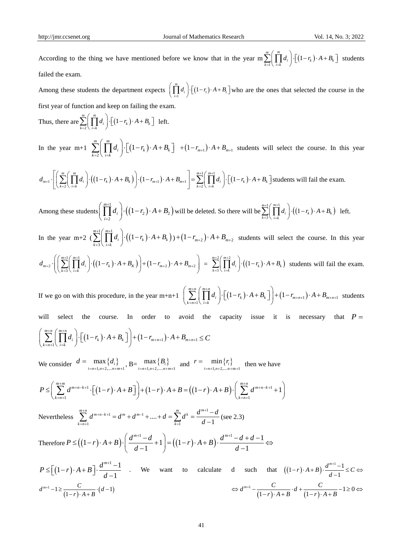According to the thing we have mentioned before we know that in the year  $\max_{k=1}^{\infty} \left( \prod_{i=k} d_i \right) \cdot \left[ (1 - r_k) \right]$  $\sum_{k=1}^{m} \left( \prod_{i=k}^{m} d_i \right) \cdot \left[ \left(1 - r_k\right) \cdot A + B_k \right]$  $\sum_{k=1}^{m} \left( \prod_{i=k}^{m} d_i \right) \cdot \left[ \left( 1 - r_k \right) \cdot A + B_k \right]$  str students failed the exam.

Among these students the department expects  $\left( \prod_{i=1}^{m} d_i \right) \cdot \left[ (1 - r_1) \cdot A + B_1 \right]$  $\prod_{i=1}^m d_i$   $\cdot \left[ (1 - r_1) \cdot A + B_1 \right]$  $\left(\prod_{i=1}^{m} d_i\right) \cdot \left[\left(1 - r_1\right) \cdot A + B_1\right]$  who are the ones that selected the course in the first year of function and keep on failing the exam.

Thus, there are  $\sum_{k=2}$   $\left( \prod_{i=k} d_i \right) \cdot \left[ (1 - r_k) \right]$  $\sum_{k=2}^{m} \left( \prod_{i=k}^{m} d_i \right) \cdot \left[ \left(1 - r_k\right) \cdot A + B_k \right]$  $\sum_{k=2}^{m} \left( \prod_{i=k}^{m} d_i \right) \cdot \left[ \left( 1 - r_k \right) \cdot A + B_k \right]$  let left.

In the year m+1  $\sum | \cdot | d_i | \cdot | (1 - r_k)$ 2  $\sum_{i=1}^{m} \left( \prod_{i=1}^{m} d_i \right) \cdot \lceil (1 \rceil) \rceil$  $\sum_{k=2}$   $\left( \prod_{i=k} d_i \right) \cdot \left[ (1-r_k) \cdot A + B_k \right]$  $\sum_{i=2}^{m} \left( \prod_{i=k}^{m} d_i \right) \cdot \left[ \left(1 - r_k\right) \cdot A + B_i \right]$  $\sum_{k=2}^{m} \left( \prod_{i=k}^{m} d_i \right) \cdot \left[ \left(1 - r_k\right) \cdot A + B_k \right]$  +  $\left(1 - r_{m+1}\right) \cdot A + B_k$ In the year m+1  $\sum_{k=2}^{\infty} \left[ \prod_{i=k} d_i \right] \cdot \left[ (1 - r_k) \cdot A + B_k \right]$   $+ (1 - r_{m+1}) \cdot A + B_{m+1}$  students will select the course. In this year  $d_{m+1} \cdot \left[ \left( \sum_{k=2}^{m} \left( \prod_{i=k}^{m} d_i \right) \cdot \left( (1 - r_k) \cdot A + B_k \right) \right) \cdot (1 - r_{m+1}) \cdot A + B_{m+1} \$ 

In the year m+1 
$$
\sum_{k=2}^{m} \left( \prod_{i=k}^{m} d_i \right) \cdot \left[ \left(1 - r_k\right) \cdot A + B_k \right] + \left(1 - r_{m+1}\right) \cdot A + B_{m+1}
$$
 students will select the course. In the  

$$
d_{m+1} \cdot \left[ \left( \sum_{k=2}^{m} \left( \prod_{i=k}^{m} d_i \right) \cdot \left( \left(1 - r_k\right) \cdot A + B_k \right) \right) \cdot \left(1 - r_{m+1}\right) \cdot A + B_{m+1} \right] = \sum_{k=2}^{m+1} \left( \prod_{i=k}^{m+1} d_i \right) \cdot \left[ \left(1 - r_k\right) \cdot A + B_k \right]
$$
students will fail the exam.

Among these students  $\left| \begin{array}{c} \end{array} \right|$   $\left| d_i \right| \cdot \left( \left(1 - r_2\right) \cdot A + B_2 \right)$ 1  $\left[ \begin{array}{c} d_i \\ 2 \end{array} \right] \cdot ((1 - r_2) \cdot A + B_2)$  $\prod^{m+1} d_i$  (1)  $\prod_{i=2}^{m+1} d_i$   $\cdot$   $\cdot$   $\cdot$   $\cdot$   $\cdot$   $\cdot$   $A + B$  $=$  $\left(\prod_{i=2}^{m+1} d_i\right) \cdot \left(\left(1 - r_2\right) \cdot A + B_2\right)$ will be deleted. So there will be  $\sum_{k=1}^{m+1} \prod_{i=1}^{m+1} d_i \cdot ((1-r_k) \cdot A + B_k)$ 3  $\sum_{k+3}^{m+1} \left( \prod_{i=k}^{m+1} d_i \right) \cdot \left( \left(1 - r_k\right) \cdot A + B_k \right)$  $+3$  \ i=  $\sum_{k+3}^{m+1} \left( \prod_{i=k}^{m+1} d_i \right) \cdot \left( \left(1 - r_k\right) \cdot A + B_k \right)$ left.

In the year m+2  $\left(\sum_{k=1}^{m+1} \binom{m+1}{k} \cdot \left(\left(1 - r_k\right) \cdot A + B_k\right)\right)$ 3  $\sum_{i=1}^{m+1} \left( \prod_{i=1}^{m+1} d_i \right) \cdot \left( \left( 1 \right)$  $\sum_{k+3} \left( \prod_{i=k} d_i \right) \cdot \left( (1-r_k) \cdot A + B_k \right)$  $\sum_{i=1}^{n+1} \left( \prod_{i=1}^{m+1} d_i \right) \cdot \left( \left(1 - r_k\right) \cdot A + B_k \right)$  $+3$  \ i=  $\sum_{k+3}^{m+1} \left( \prod_{i=k}^{m+1} d_i \right) \cdot \left( \left(1 - r_k\right) \cdot A + B_k \right)$ be year m+2  $\left(\prod_{k=3}^{m+1} \binom{m+1}{k} \cdot \left(\left(1 - r_k\right) \cdot A + B_k\right)\right) + \left(1 - r_{m+2}\right) \cdot A + B_{m+2}$  students will select the course. In this year<br> $\left(\sum_{k=3}^{m+1} \binom{m+1}{k} \cdot \left(\left(1 - r_k\right) \cdot A + B_k\right)\right) + \left(1 - r_{m+2}\right) \cdot A + B_{m+2} = \sum_{k=3}^{m+2}$ 

$$
d_{m+2} \cdot \left( \left( \sum_{k=3}^{m+1} \left( \prod_{i=k}^{m+1} d_i \right) \cdot \left( \left(1 - r_k\right) \cdot A + B_k \right) \right) + \left(1 - r_{m+2}\right) \cdot A + B_{m+2} \right) = \sum_{k=3}^{m+2} \left( \prod_{i=k}^{m+2} d_i \right) \cdot \left( \left(1 - r_k\right) \cdot A + B_k \right)
$$
 students will fail the exam.

If we go on with this procedure, in the year m+n+1  $\left( \sum_{k=n+1}^{m+n} \left( \prod_{i=k}^{m+n} d_i \right) \cdot \left[ (1-r_k) \cdot A + B_k \right] \right) + (1-r_{m+n+1}) \cdot A + B_{m+n+1}$  $\sum_{k=n+1}^{m+n} \left( \prod_{i=k}^{m+n} d_i \right) \cdot \left[ \left( 1 - r_k \right) \cdot A + B_k \right] \right) + \left( 1 - r_{m+n+1} \right) \cdot A + B_{m+n}$  $\sum_{k=n+1}^{m+n} \left( \prod_{i=k}^{m+n} d_i \right) \cdot \left[ \left( 1 - r_k \right) \cdot A + B_k \right] \right) + \left( 1 - r_{m+n+1} \right) \cdot A + B_{m+n+1}$  stu  $\left( \sum_{k=n+1}^{m+n} \left( \prod_{i=k}^{m+n} d_i \right) \cdot \left[ \left(1-r_k\right) \cdot A + B_k \right] \right) + \left(1-r_{m+n+1}\right) \cdot A + B_{m+n+1}$ students will select the course. In order to avoid the capacity issue it is necessary that  $P =$  $\sum_{k=n+1}^{m+n} \left( \prod_{i=k}^{m+n} d_i \right) \cdot \left[ (1 - r_k) \cdot A + B_k \right] + (1 - r_{m+n+1}) \cdot A + B_{m+n+1}$  $\sum_{k=n+1}^{m+n} \left( \prod_{i=k}^{m+n} d_i \right) \cdot \left[ (1 - r_k) \cdot A + B_k \right] + (1 - r_{m+n+1}) \cdot A + B_{m+n}$  $\sum_{k=n+1}^{m+n} \left( \prod_{i=k}^{m+n} d_i \right) \cdot \left[ (1-r_k) \cdot A + B_k \right] \right) + (1-r_{m+n+1}) \cdot A + B_{m+n+1} \leq C$ will select the course. In order to avoid the<br>  $\left(\sum_{k=n+1}^{m+n} \left(\prod_{i=k}^{m+n} d_i\right) \cdot \left[\left(1-r_k\right) \cdot A + B_k\right]\right) + \left(1-r_{m+n+1}\right) \cdot A + B_{m+n+1} \leq C$ 

We consider  $d = \max\{d_i\}$  $\max\limits_{i=n+1,n+2,...,n+m+1} \{d_i\}$  $d = \max\{d$  $=n+1, n+2, \ldots n+m+1$  $=$  max  $\{d_i\}$ ,  $B =$  max  $\{B_i\}$  $\max\limits_{i=n+1,n+2,....n+m+1} \{B_i\}$ *B*  $\max\limits_{r=n+1,n+2,...,n+m+1} \{B_i\}$  and  $r = \min\limits_{i=n+1,n+2,...,n+m+1} \{r_i\}$  $\min_{i=n+1, n+2, \dots, n+m+1} \{r_i\}$  $r = \min\{r_i$  $=n+1, n+2, \dots n+m+1$  $_{i=n+1,n+2,...,n+m+1}$ ,  $\sum_{i=n+1,n+2,...,n+m+1}$  and  $_{i=n+1,n+2,...,n+m+1}$  $\sum_{i=n+1,n+2,...,n+m+1}^{n}$ ,  $D = \sum_{i=n+1,n+2,...,n+m+1}^{n}$  and  $\sum_{i=n+1,n+2,...,n+m+1}^{n}$  and  $\sum_{i=n+1,n+2,...,n+m+1}^{n}$  and  $\sum_{i=n+1,n+2,...,n+m+1}^{n}$ 

We consider 
$$
d = \max\{d_i\}
$$
  $\{B_i\}$  and  $r = \min\{r_i\}$  then we have  
\n
$$
P \leq \left(\sum_{k=n+1}^{m+m} d^{m+n-k+1} \cdot \left[\left(1-r\right) \cdot A + B\right]\right) + \left(1-r\right) \cdot A + B = \left(\left(1-r\right) \cdot A + B\right) \cdot \left(\sum_{k=n+1}^{m+n} d^{m+n-k+1} + 1\right)
$$

Nevertheless  $d^{n-1} = d^{m} + d^{m-1} + \dots + d = \sum_{k=0}^{m} d^{k} = \frac{d^{m+1}}{d^{k}}$  $d^{m+n-k+1} = d^m + d^{m-1} + \dots + d = \sum_{k=1}^{n}$ 1  $\sum_{m+n}^{m+n} d^{m+n-k+1} = d^m + d^{m-1} + \dots + d = \sum_{m}^{m} d^k = \frac{d^m}{dx^m}$  $\sum_{k=n+1}^{m+n} d^{m+n-k+1} = d^m + d^{m-1} + \dots + d = \sum_{k=1}^{m} d^k = \frac{d^{m+1} - d^{k}}{d-1}$  $\sum_{k=0}^{n+m} d^{m+n-k+1} = d^m + d^{m-1} + \dots + d = \sum_{k=0}^{m} d^k = \frac{d^{m-k}}{k}$  $\sum_{n=1}^{m+n} d^{m+n-k+1} = d^m + d^{m-1} + \dots + d = \sum_{k=1}^{m} d^k = \frac{d^{m+1}-d^{m+1}}{d-1}$  $\sum_{k=1}^{m+n} d^{m+n-k+1} = d^m + d^{m-1} + \dots + d = \sum_{k=1}^{m} d^k = \frac{d^{m+1} - d^{m+1}}{d-1}$ (see 2.3)

Therefore  $P \le ((1-r) \cdot A + B) \cdot \left(\frac{d^{m+1} - d}{d-1} + 1\right) = ((1-r) \cdot A + B) \cdot \frac{d^{m+1} - d + d - 1}{d-1}$  $\left(\frac{-d}{1}+1\right) = \left(\left(1-r\right) \cdot A + B\right) \cdot \frac{d^{m+1}-d+1}{d-1}$  $\sum_{k=n+1}^{n} d^{m+n-k+1} = d^m + d^{m-1} + \dots + d = \sum_{k=1}^{n} d^k = \frac{d^k - d}{d-1}$  (see 2.3)<br>  $P \leq ((1-r) \cdot A + B) \cdot \left(\frac{d^{m+1} - d}{d-1} + 1\right) = ((1-r) \cdot A + B) \cdot \frac{d^{m+1} - d + d}{d-1}$ *g*  $\sum_{k=n+1}^{\infty} d^{m+n-k+1} = d^m + d^{m-1} + \dots + d = \sum_{k=1}^{\infty} d^k = \frac{d^{m+1} - d}{d-1}$  (see 2.3)<br>  $\leq ((1-r)\cdot A + B) \cdot \left(\frac{d^{m+1} - d}{d-1} + 1\right) = ((1-r)\cdot A + B) \cdot \frac{d^{m+1} - d + d - 1}{d-1}$  ⇔

$$
P \leq \left[ (1-r) \cdot A + B \right] \cdot \frac{d^{m+1}-1}{d-1} \quad \text{We want to calculate } d \quad \text{such that} \quad ((1-r) \cdot A + B) \cdot \frac{d^{m+1}-1}{d-1} \leq C \Leftrightarrow
$$
\n
$$
d^{m+1}-1 \geq \frac{C}{(1-r) \cdot A+B} \cdot (d-1) \qquad \Leftrightarrow d^{m+1}-\frac{C}{(1-r) \cdot A+B} \cdot d + \frac{C}{(1-r) \cdot A+B} -1 \geq 0 \Leftrightarrow
$$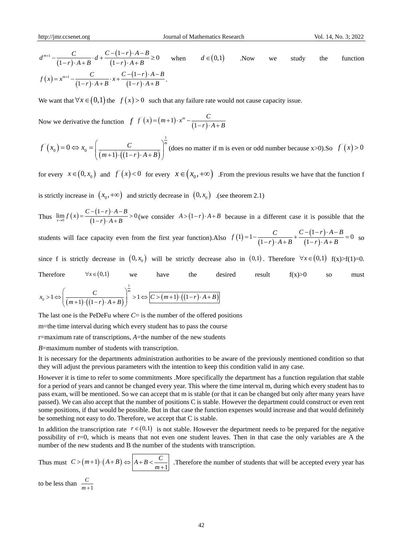$$
d^{m+1} - \frac{C}{(1-r) \cdot A + B} \cdot d + \frac{C - (1-r) \cdot A - B}{(1-r) \cdot A + B} \ge 0 \quad \text{when} \quad d \in (0,1) \quad \text{Now} \quad \text{we} \quad \text{study} \quad \text{the} \quad \text{function}
$$
\n
$$
f(x) = x^{m+1} - \frac{C}{(1-r) \cdot A + B} \cdot x + \frac{C - (1-r) \cdot A - B}{(1-r) \cdot A + B}.
$$

We want that  $\forall x \in (0,1)$  the  $f(x) > 0$  such that any failure rate would not cause capacity issue.

Now we derivative the function  $f^{(r)}(x) = (m+1) \cdot x^m - \frac{C}{(1-r)}$  $(x) = (m+1) \cdot x^m - \frac{1}{1}$  $f'(x) = (m+1) \cdot x^m - \frac{C}{(1-r) \cdot A + B}$ 

$$
f'(x_0) = 0 \Leftrightarrow x_0 = \left(\frac{C}{(m+1)\cdot((1-r)\cdot A+B)}\right)^{\frac{1}{m}} \text{(does no matter if m is even or odd number because x>0). So } f'(x) > 0
$$

for every  $x \in (0, x_0)$  and  $f'(x) < 0$  for every  $x \in (x_0, +\infty)$ . From the previous results we have that the function f

is strictly increase in  $(x_0, +\infty)$  and strictly decrease in  $(0, x_0)$  . (see theorem 2.1)

Thus  $\lim_{x \to 0} f(x) = \frac{C - (1 - r)^3}{(1 - r)^3}$  $0^{0}$  (1-r)  $\lim_{x\to 0} f(x) = \frac{C - (1 - r) \cdot A - B}{(1 - r) \cdot A + B} > 0$  $\lim_{x \to 0} f(x) = \frac{C - (1 - r) \cdot A - B}{(1 - r) \cdot A + B}$  $=\frac{C-(1-r)\cdot A-B}{(1-r)\cdot A+B} > 0$  (we consider  $A > (1-r)\cdot A+B$  because in a different case it is possible that the *C*  $f(1) = 1 - \frac{C}{(1 - C)^2 + C} + \frac{C - (1 - r) \cdot A - B}{(1 - c)^2 + C}$ 

students will face capacity even from the first year function). Also  $f(1)=1-\frac{1}{(1-r)}$  $(1-r)$  $(1-r)$ 1 1) = 1 -  $\frac{C}{(1-r)\cdot A+B} + \frac{C-(1-r)\cdot A-B}{(1-r)\cdot A+B} = 0$  $\frac{C}{r \cdot A + B} + \frac{C - (1 - r) \cdot A -}{(1 - r) \cdot A + B}$ = 1 -  $\frac{C}{(1-r) \cdot A + B} + \frac{C - (1-r) \cdot A - B}{(1-r) \cdot A + B} = 0$  so so

since f is strictly decrease in  $(0, x_0)$  will be strictly decrease also in  $(0,1)$ . Therefore  $\forall x \in (0,1)$  f(x)>f(1)=0. Therefore  $\forall x \in (0,1)$ we have the desired result  $f(x) > 0$  so must

Therefore 
$$
\forall x \in (0,1)
$$
 we have the desired  

$$
x_0 > 1 \Leftrightarrow \left(\frac{C}{(m+1)\cdot((1-r)\cdot A+B)}\right)^{\frac{1}{m}} > 1 \Leftrightarrow \boxed{C > (m+1)\cdot((1-r)\cdot A+B)}
$$

The last one is the PeDeFu where  $C = i$  is the number of the offered positions

m=the time interval during which every student has to pass the course

r=maximum rate of transcriptions, *A*=the number of the new students

*B*=maximum number of students with transcription.

It is necessary for the departments administration authorities to be aware of the previously mentioned condition so that they will adjust the previous parameters with the intention to keep this condition valid in any case.

 $(1-r) \cdot A + B$ <br>  $(x^{n-1}) \cdot A + B$ <br>  $x^{n-1} = \frac{C - (1-r) \cdot A + B}{(1-r) \cdot A + B}$ .<br>
In that  $\forall x \in (0,1)$  the  $f(x) > 0$  such that any failure<br>
decrivative the function  $f(x) = (m+1) \cdot x^m - \frac{1}{(1-r)}$ <br>  $\Rightarrow 0 \Leftrightarrow x_n = \left(\frac{C}{(m+1) \cdot ((1-r) \cdot A + B)}\right)^{\frac{1}{m$ However it is time to refer to some commitments .More specifically the department has a function regulation that stable for a period of years and cannot be changed every year. This where the time interval m, during which every student has to pass exam, will be mentioned. So we can accept that m is stable (or that it can be changed but only after many years have passed). We can also accept that the number of positions C is stable. However the department could construct or even rent some positions, if that would be possible. But in that case the function expenses would increase and that would definitely be something not easy to do. Therefore, we accept that C is stable.

In addition the transcription rate  $r \in (0,1)$  is not stable. However the department needs to be prepared for the negative possibility of r=0, which is means that not even one student leaves. Then in that case the only variables are A the number of the new students and B the number of the students with transcription.

Thus must  $C > (m+1) \cdot (A+B) \Leftrightarrow A+B < \frac{C}{m+1}$  $\Leftrightarrow$   $A + B \lt \frac{C}{m+1}$  .Therefore the number of students that will be accepted every year has

to be less than  $\frac{C}{m+1}$ *C m*